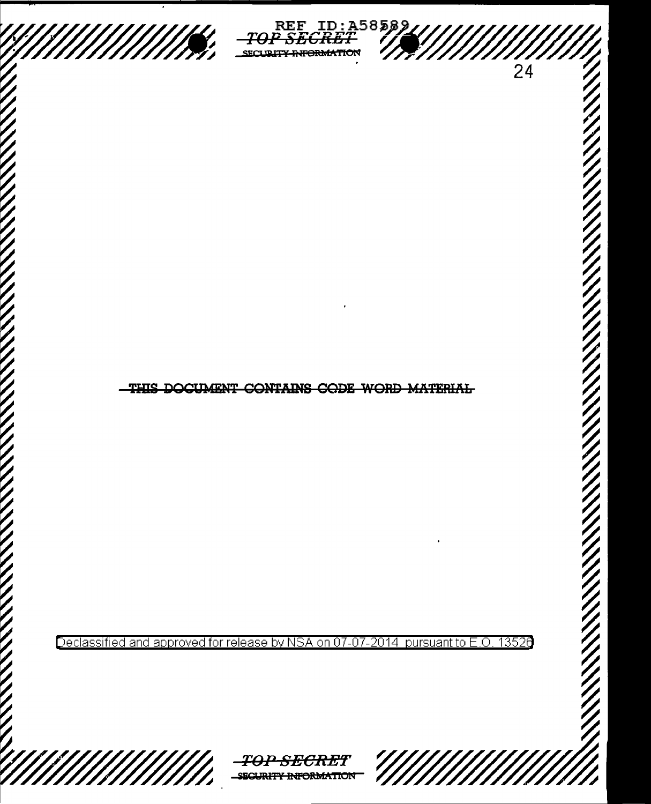

REF ID:A58589<br>PSECRET 77 <del>y INFORMATION</del> SFO



Declassified and approved for release by NSA on 07-07-2014 13526 pursuant to E.O.







 $\overline{24}$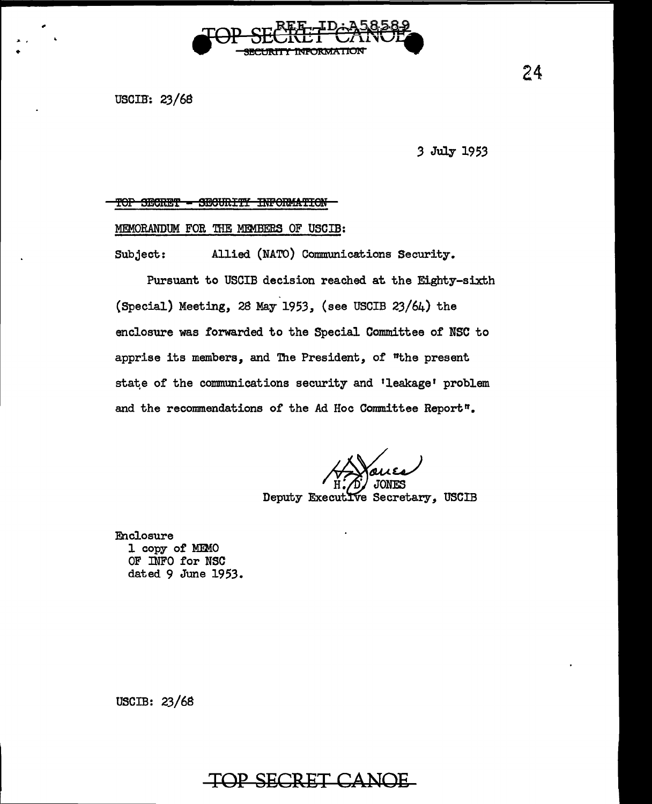

USCIB: 23/68

3 July 1953

## TOP SECRET - SECURITY INFORMATION

## MEMORANDUM FOR THE MEMBERS OF USCIB:

Allied (NATO) Communications Security. Subject:

Pursuant to USCIB decision reached at the Eighty-sixth (Special) Meeting, 28 May 1953, (see USCIB 23/64) the enclosure was forwarded to the Special Committee of NSC to apprise its members, and The President, of "the present state of the communications security and 'leakage' problem and the recommendations of the Ad Hoc Committee Report".

Deputy Executive Secretary, USCIB

**Enclosure** 1 copy of MEMO OF INFO for NSC dated 9 June 1953.

USCIB:  $23/68$ 

## TOP SECRET CANOE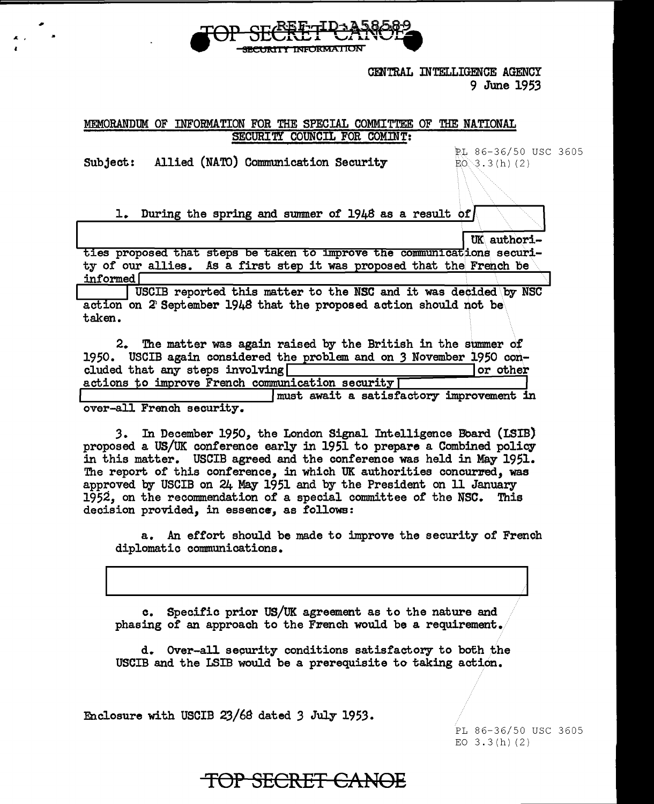

**CENTRAL INTELLIGENCE AGENCY** 9 June 1953

## MEMORANDUM OF INFORMATION FOR THE SPECIAL COMMITTEE OF THE NATIONAL SECURITY COUNCIL FOR COMINT:

Subject: Allied (NATO) Communication Security

 $^{\prime}$  '

PL 86-36/50 USC 3605  $E0 \ 3.3(h) (2)$ 

1. During the spring and summer of 1948 as a result of

UK authori-

ties proposed that steps be taken to improve the communications security of our allies. As a first step it was proposed that the French be informed f

USCIB reported this matter to the NSC and it was decided by NSC action on 2 September 1948 that the proposed action should not be taken.

| 2. The matter was again raised by the British in the summer of       |          |  |
|----------------------------------------------------------------------|----------|--|
| 1950. USCIB again considered the problem and on 3 November 1950 con- |          |  |
| cluded that any steps involving                                      | or other |  |
| actions to improve French communication security [                   |          |  |
|                                                                      |          |  |

I must await a satisfactory improvement in over-all French security.

3. In December 1950, the London Signal Intelligence Board (LSIB) proposed a US/UK conference early in 1951 to prepare a Combined policy in this matter. USCIB agreed and the conference was held in May 1951. The report of this conference, in which UK authorities concurred, was approved by USCIB on 24 May 1951 and by the President on 11 January 1952, on the recommendation of a special committee of the NSC. This decision provided, in essence, as followe:

a. An effort should be made to improve the security of French diplomatic communications.

c. Specific prior US/UK agreement as to the nature and phasing of an approach to the French would be a requirement.

d. Over-all security conditions satisfactory to both the USCIB and the LSIB would be a prerequisite to taking action.

Enclosure with USCIB 23/6S dated *3* July 1953.

PL 86-36/50 USC 3605 EO  $3.3(h)(2)$ 

TOP SECRET CANOE